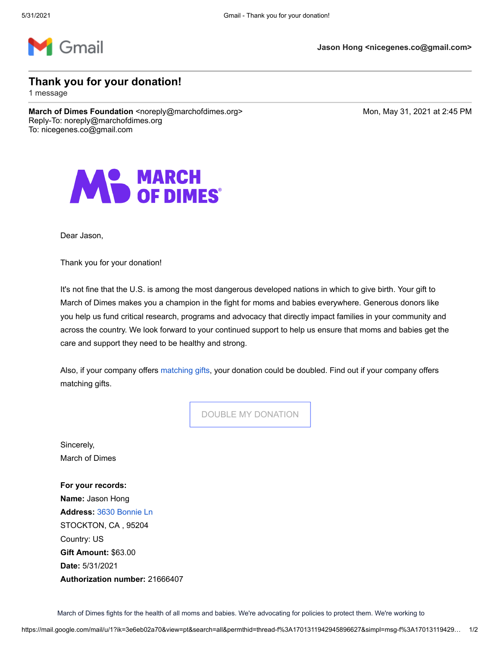

**Jason Hong <nicegenes.co@gmail.com>**

**Thank you for your donation!**

1 message

**March of Dimes Foundation** <noreply@marchofdimes.org> Monetal Mon, May 31, 2021 at 2:45 PM Reply-To: noreply@marchofdimes.org To: nicegenes.co@gmail.com



Dear Jason,

Thank you for your donation!

It's not fine that the U.S. is among the most dangerous developed nations in which to give birth. Your gift to March of Dimes makes you a champion in the fight for moms and babies everywhere. Generous donors like you help us fund critical research, programs and advocacy that directly impact families in your community and across the country. We look forward to your continued support to help us ensure that moms and babies get the care and support they need to be healthy and strong.

Also, if your company offers [matching gifts,](https://www.marchofdimes.org/giving/matching-gifts.aspx?utm_medium=email&utm_source=donation-receipt) your donation could be doubled. Find out if your company offers matching gifts.

[DOUBLE MY DONATION](https://www.marchofdimes.org/giving/matching-gifts.aspx?utm_medium=email&utm_source=donation-receipt)

Sincerely, March of Dimes

**For your records: Name:** Jason Hong **Address:** [3630 Bonnie Ln](https://www.google.com/maps/search/3630+Bonnie+Ln++%0D%0A%0D%0A%0D%0ASTOCKTON,+CA+,+95204+%0D%0A%0D%0A%0D%0ACountry:+US?entry=gmail&source=g)  STOCKTON, CA , 95204 Country: US **Gift Amount:** \$63.00 **Date:** 5/31/2021 **Authorization number:** 21666407

March of Dimes fights for the health of all moms and babies. We're advocating for policies to protect them. We're working to